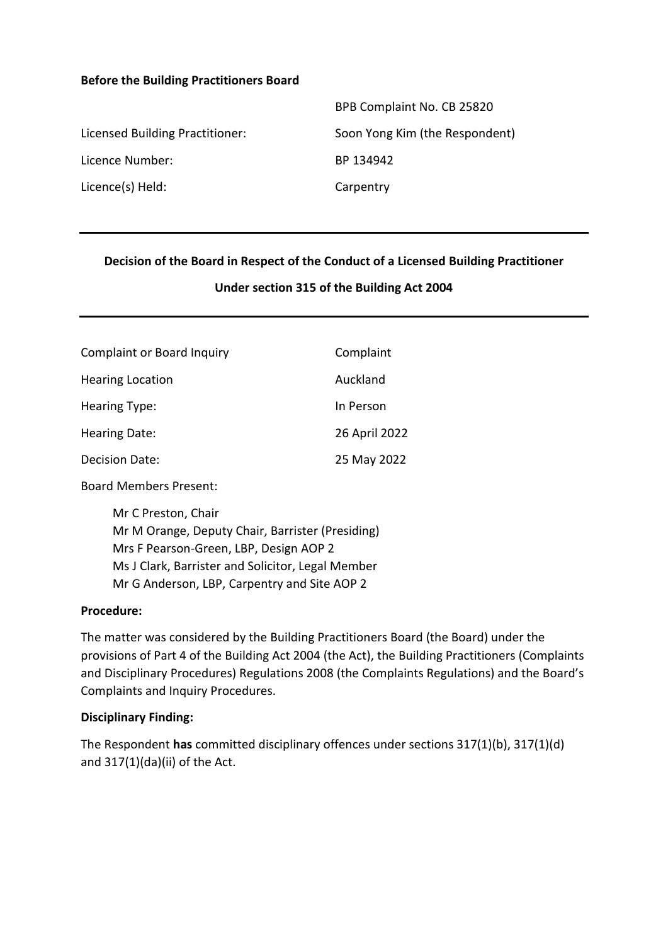#### **Before the Building Practitioners Board**

|                                 | BPB Complaint No. CB 25820     |
|---------------------------------|--------------------------------|
| Licensed Building Practitioner: | Soon Yong Kim (the Respondent) |
| Licence Number:                 | BP 134942                      |
| Licence(s) Held:                | Carpentry                      |

#### **Decision of the Board in Respect of the Conduct of a Licensed Building Practitioner**

#### **Under section 315 of the Building Act 2004**

| <b>Complaint or Board Inquiry</b> | Complaint     |
|-----------------------------------|---------------|
| <b>Hearing Location</b>           | Auckland      |
| Hearing Type:                     | In Person     |
| Hearing Date:                     | 26 April 2022 |
| Decision Date:                    | 25 May 2022   |

Board Members Present:

Mr C Preston, Chair Mr M Orange, Deputy Chair, Barrister (Presiding) Mrs F Pearson-Green, LBP, Design AOP 2 Ms J Clark, Barrister and Solicitor, Legal Member Mr G Anderson, LBP, Carpentry and Site AOP 2

#### **Procedure:**

The matter was considered by the Building Practitioners Board (the Board) under the provisions of Part 4 of the Building Act 2004 (the Act), the Building Practitioners (Complaints and Disciplinary Procedures) Regulations 2008 (the Complaints Regulations) and the Board's Complaints and Inquiry Procedures.

#### **Disciplinary Finding:**

The Respondent **has** committed disciplinary offences under sections 317(1)(b), 317(1)(d) and 317(1)(da)(ii) of the Act.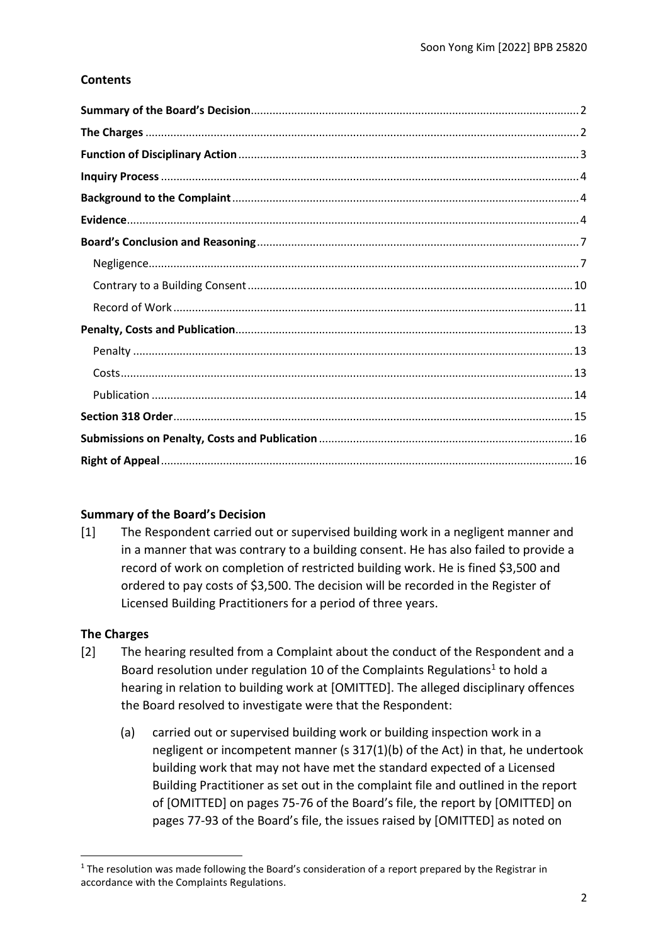## **Contents**

#### <span id="page-1-0"></span>**Summary of the Board's Decision**

[1] The Respondent carried out or supervised building work in a negligent manner and in a manner that was contrary to a building consent. He has also failed to provide a record of work on completion of restricted building work. He is fined \$3,500 and ordered to pay costs of \$3,500. The decision will be recorded in the Register of Licensed Building Practitioners for a period of three years.

#### <span id="page-1-1"></span>**The Charges**

- [2] The hearing resulted from a Complaint about the conduct of the Respondent and a Board resolution under regulation 10 of the Complaints Regulations<sup>1</sup> to hold a hearing in relation to building work at [OMITTED]. The alleged disciplinary offences the Board resolved to investigate were that the Respondent:
	- (a) carried out or supervised building work or building inspection work in a negligent or incompetent manner (s 317(1)(b) of the Act) in that, he undertook building work that may not have met the standard expected of a Licensed Building Practitioner as set out in the complaint file and outlined in the report of [OMITTED] on pages 75-76 of the Board's file, the report by [OMITTED] on pages 77-93 of the Board's file, the issues raised by [OMITTED] as noted on

<sup>&</sup>lt;sup>1</sup> The resolution was made following the Board's consideration of a report prepared by the Registrar in accordance with the Complaints Regulations.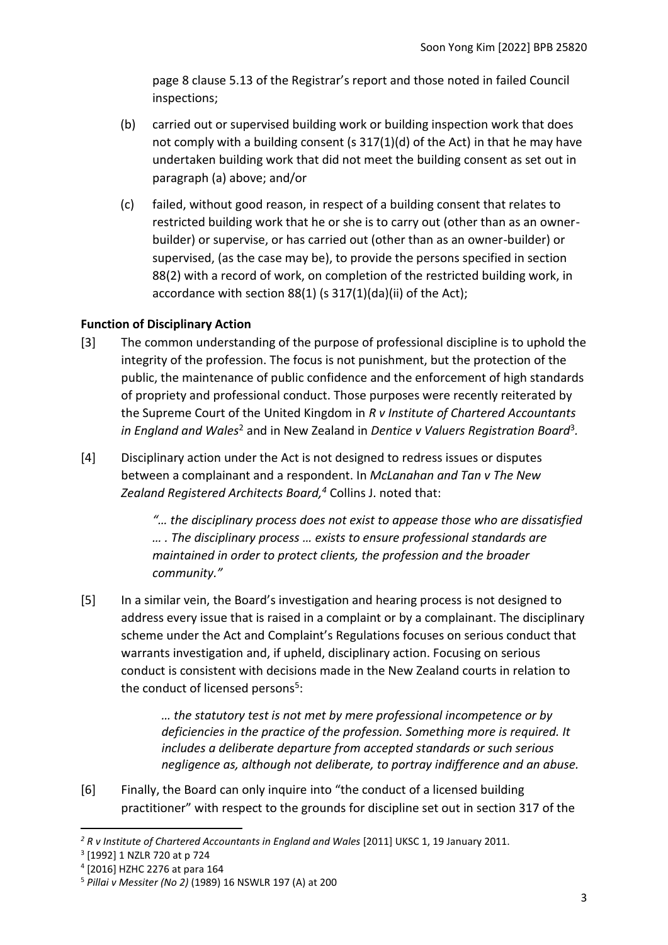page 8 clause 5.13 of the Registrar's report and those noted in failed Council inspections;

- (b) carried out or supervised building work or building inspection work that does not comply with a building consent (s 317(1)(d) of the Act) in that he may have undertaken building work that did not meet the building consent as set out in paragraph (a) above; and/or
- (c) failed, without good reason, in respect of a building consent that relates to restricted building work that he or she is to carry out (other than as an ownerbuilder) or supervise, or has carried out (other than as an owner-builder) or supervised, (as the case may be), to provide the persons specified in section 88(2) with a record of work, on completion of the restricted building work, in accordance with section 88(1) (s 317(1)(da)(ii) of the Act);

## <span id="page-2-0"></span>**Function of Disciplinary Action**

- [3] The common understanding of the purpose of professional discipline is to uphold the integrity of the profession. The focus is not punishment, but the protection of the public, the maintenance of public confidence and the enforcement of high standards of propriety and professional conduct. Those purposes were recently reiterated by the Supreme Court of the United Kingdom in *R v Institute of Chartered Accountants*  in England and Wales<sup>2</sup> and in New Zealand in Dentice v Valuers Registration Board<sup>3</sup>.
- [4] Disciplinary action under the Act is not designed to redress issues or disputes between a complainant and a respondent. In *McLanahan and Tan v The New Zealand Registered Architects Board, <sup>4</sup>* Collins J. noted that:

*"… the disciplinary process does not exist to appease those who are dissatisfied … . The disciplinary process … exists to ensure professional standards are maintained in order to protect clients, the profession and the broader community."*

[5] In a similar vein, the Board's investigation and hearing process is not designed to address every issue that is raised in a complaint or by a complainant. The disciplinary scheme under the Act and Complaint's Regulations focuses on serious conduct that warrants investigation and, if upheld, disciplinary action. Focusing on serious conduct is consistent with decisions made in the New Zealand courts in relation to the conduct of licensed persons<sup>5</sup>:

> *… the statutory test is not met by mere professional incompetence or by deficiencies in the practice of the profession. Something more is required. It includes a deliberate departure from accepted standards or such serious negligence as, although not deliberate, to portray indifference and an abuse.*

[6] Finally, the Board can only inquire into "the conduct of a licensed building practitioner" with respect to the grounds for discipline set out in section 317 of the

<sup>&</sup>lt;sup>2</sup> R v Institute of Chartered Accountants in England and Wales [2011] UKSC 1, 19 January 2011.

<sup>3</sup> [1992] 1 NZLR 720 at p 724

<sup>4</sup> [2016] HZHC 2276 at para 164

<sup>5</sup> *Pillai v Messiter (No 2)* (1989) 16 NSWLR 197 (A) at 200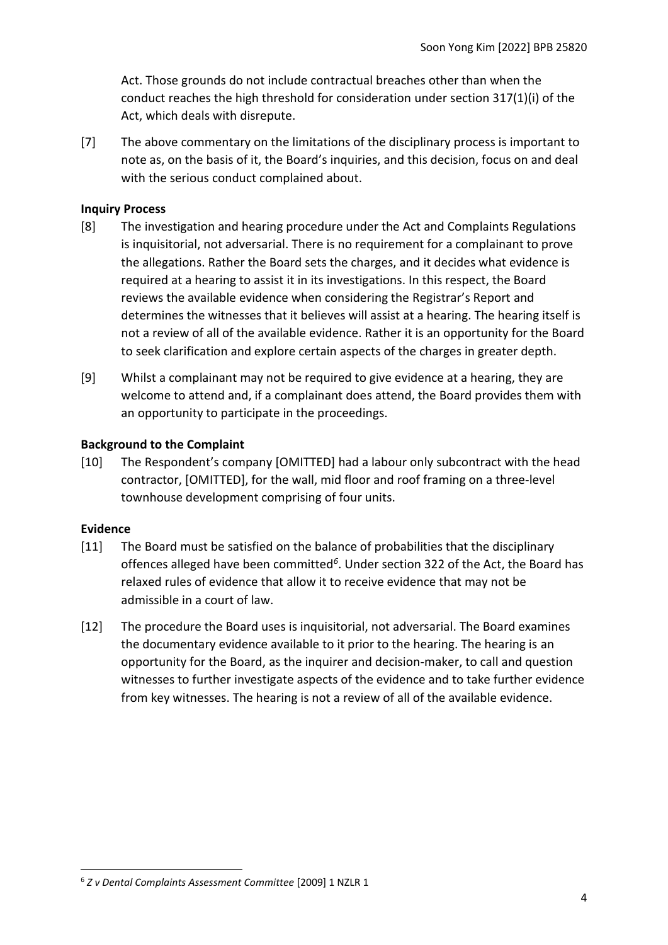Act. Those grounds do not include contractual breaches other than when the conduct reaches the high threshold for consideration under section 317(1)(i) of the Act, which deals with disrepute.

[7] The above commentary on the limitations of the disciplinary process is important to note as, on the basis of it, the Board's inquiries, and this decision, focus on and deal with the serious conduct complained about.

### <span id="page-3-0"></span>**Inquiry Process**

- [8] The investigation and hearing procedure under the Act and Complaints Regulations is inquisitorial, not adversarial. There is no requirement for a complainant to prove the allegations. Rather the Board sets the charges, and it decides what evidence is required at a hearing to assist it in its investigations. In this respect, the Board reviews the available evidence when considering the Registrar's Report and determines the witnesses that it believes will assist at a hearing. The hearing itself is not a review of all of the available evidence. Rather it is an opportunity for the Board to seek clarification and explore certain aspects of the charges in greater depth.
- [9] Whilst a complainant may not be required to give evidence at a hearing, they are welcome to attend and, if a complainant does attend, the Board provides them with an opportunity to participate in the proceedings.

## <span id="page-3-1"></span>**Background to the Complaint**

[10] The Respondent's company [OMITTED] had a labour only subcontract with the head contractor, [OMITTED], for the wall, mid floor and roof framing on a three-level townhouse development comprising of four units.

#### <span id="page-3-2"></span>**Evidence**

- [11] The Board must be satisfied on the balance of probabilities that the disciplinary offences alleged have been committed*<sup>6</sup>* . Under section 322 of the Act, the Board has relaxed rules of evidence that allow it to receive evidence that may not be admissible in a court of law.
- [12] The procedure the Board uses is inquisitorial, not adversarial. The Board examines the documentary evidence available to it prior to the hearing. The hearing is an opportunity for the Board, as the inquirer and decision-maker, to call and question witnesses to further investigate aspects of the evidence and to take further evidence from key witnesses. The hearing is not a review of all of the available evidence.

<sup>6</sup> *Z v Dental Complaints Assessment Committee* [2009] 1 NZLR 1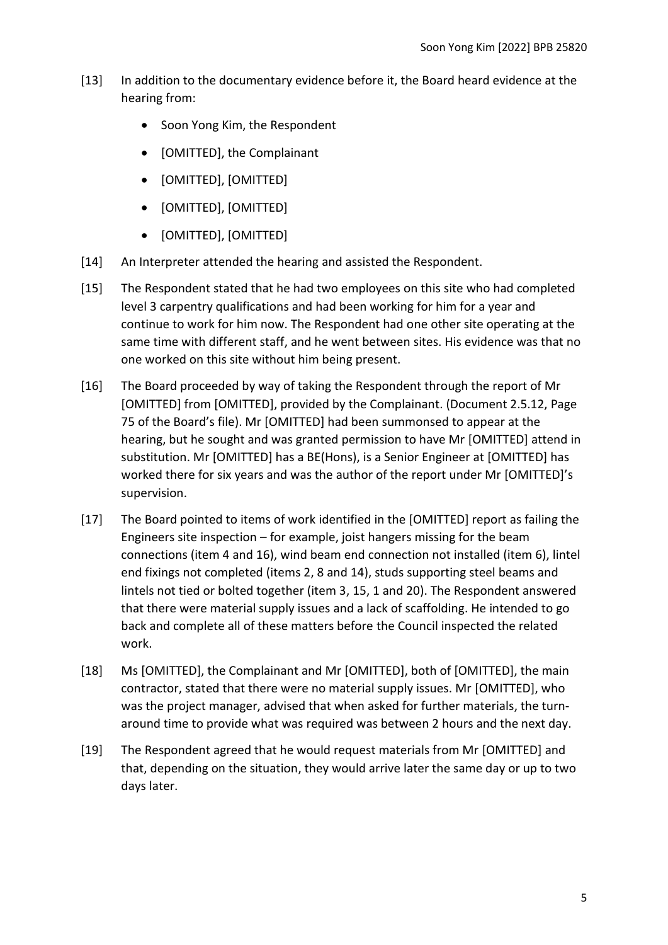- [13] In addition to the documentary evidence before it, the Board heard evidence at the hearing from:
	- Soon Yong Kim, the Respondent
	- [OMITTED], the Complainant
	- [OMITTED], [OMITTED]
	- [OMITTED], [OMITTED]
	- [OMITTED], [OMITTED]
- [14] An Interpreter attended the hearing and assisted the Respondent.
- [15] The Respondent stated that he had two employees on this site who had completed level 3 carpentry qualifications and had been working for him for a year and continue to work for him now. The Respondent had one other site operating at the same time with different staff, and he went between sites. His evidence was that no one worked on this site without him being present.
- [16] The Board proceeded by way of taking the Respondent through the report of Mr [OMITTED] from [OMITTED], provided by the Complainant. (Document 2.5.12, Page 75 of the Board's file). Mr [OMITTED] had been summonsed to appear at the hearing, but he sought and was granted permission to have Mr [OMITTED] attend in substitution. Mr [OMITTED] has a BE(Hons), is a Senior Engineer at [OMITTED] has worked there for six years and was the author of the report under Mr [OMITTED]'s supervision.
- [17] The Board pointed to items of work identified in the [OMITTED] report as failing the Engineers site inspection – for example, joist hangers missing for the beam connections (item 4 and 16), wind beam end connection not installed (item 6), lintel end fixings not completed (items 2, 8 and 14), studs supporting steel beams and lintels not tied or bolted together (item 3, 15, 1 and 20). The Respondent answered that there were material supply issues and a lack of scaffolding. He intended to go back and complete all of these matters before the Council inspected the related work.
- [18] Ms [OMITTED], the Complainant and Mr [OMITTED], both of [OMITTED], the main contractor, stated that there were no material supply issues. Mr [OMITTED], who was the project manager, advised that when asked for further materials, the turnaround time to provide what was required was between 2 hours and the next day.
- [19] The Respondent agreed that he would request materials from Mr [OMITTED] and that, depending on the situation, they would arrive later the same day or up to two days later.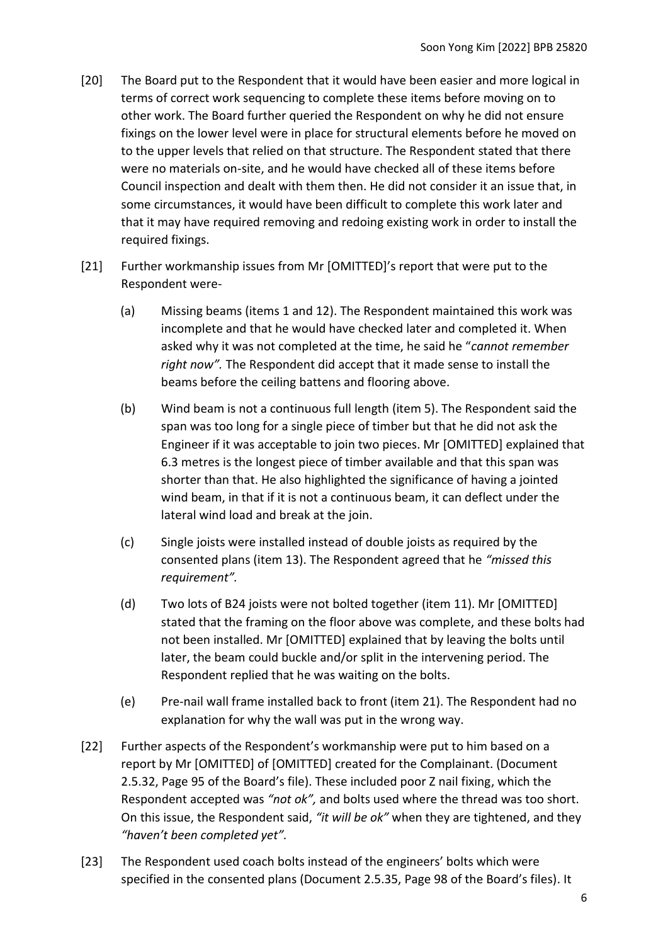- [20] The Board put to the Respondent that it would have been easier and more logical in terms of correct work sequencing to complete these items before moving on to other work. The Board further queried the Respondent on why he did not ensure fixings on the lower level were in place for structural elements before he moved on to the upper levels that relied on that structure. The Respondent stated that there were no materials on-site, and he would have checked all of these items before Council inspection and dealt with them then. He did not consider it an issue that, in some circumstances, it would have been difficult to complete this work later and that it may have required removing and redoing existing work in order to install the required fixings.
- [21] Further workmanship issues from Mr [OMITTED]'s report that were put to the Respondent were-
	- (a) Missing beams (items 1 and 12). The Respondent maintained this work was incomplete and that he would have checked later and completed it. When asked why it was not completed at the time, he said he "*cannot remember right now".* The Respondent did accept that it made sense to install the beams before the ceiling battens and flooring above.
	- (b) Wind beam is not a continuous full length (item 5). The Respondent said the span was too long for a single piece of timber but that he did not ask the Engineer if it was acceptable to join two pieces. Mr [OMITTED] explained that 6.3 metres is the longest piece of timber available and that this span was shorter than that. He also highlighted the significance of having a jointed wind beam, in that if it is not a continuous beam, it can deflect under the lateral wind load and break at the join.
	- (c) Single joists were installed instead of double joists as required by the consented plans (item 13). The Respondent agreed that he *"missed this requirement".*
	- (d) Two lots of B24 joists were not bolted together (item 11). Mr [OMITTED] stated that the framing on the floor above was complete, and these bolts had not been installed. Mr [OMITTED] explained that by leaving the bolts until later, the beam could buckle and/or split in the intervening period. The Respondent replied that he was waiting on the bolts.
	- (e) Pre-nail wall frame installed back to front (item 21). The Respondent had no explanation for why the wall was put in the wrong way.
- [22] Further aspects of the Respondent's workmanship were put to him based on a report by Mr [OMITTED] of [OMITTED] created for the Complainant. (Document 2.5.32, Page 95 of the Board's file). These included poor Z nail fixing, which the Respondent accepted was *"not ok",* and bolts used where the thread was too short. On this issue, the Respondent said, *"it will be ok"* when they are tightened, and they *"haven't been completed yet".*
- [23] The Respondent used coach bolts instead of the engineers' bolts which were specified in the consented plans (Document 2.5.35, Page 98 of the Board's files). It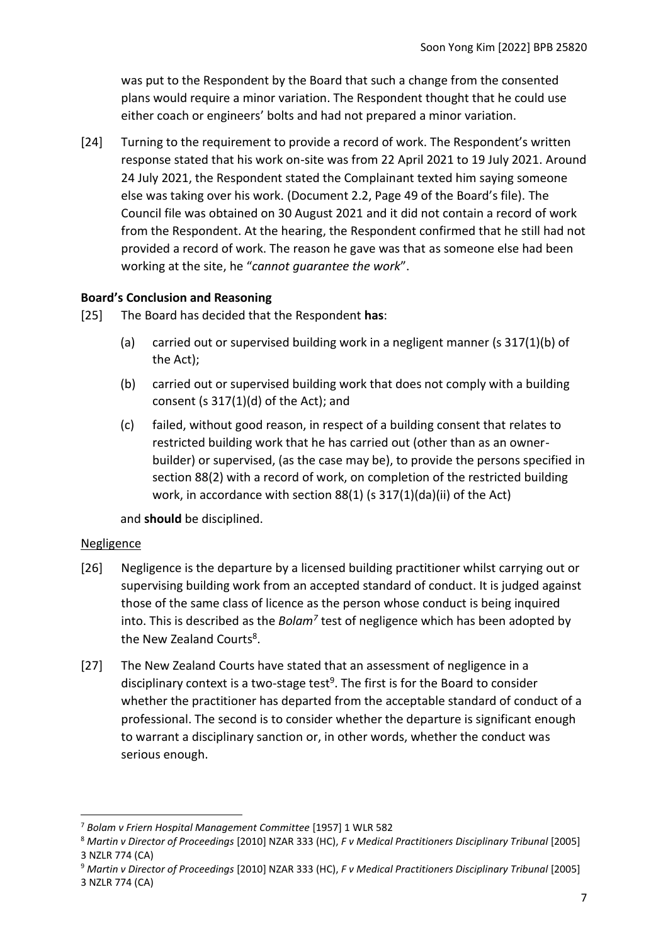was put to the Respondent by the Board that such a change from the consented plans would require a minor variation. The Respondent thought that he could use either coach or engineers' bolts and had not prepared a minor variation.

[24] Turning to the requirement to provide a record of work. The Respondent's written response stated that his work on-site was from 22 April 2021 to 19 July 2021. Around 24 July 2021, the Respondent stated the Complainant texted him saying someone else was taking over his work. (Document 2.2, Page 49 of the Board's file). The Council file was obtained on 30 August 2021 and it did not contain a record of work from the Respondent. At the hearing, the Respondent confirmed that he still had not provided a record of work. The reason he gave was that as someone else had been working at the site, he "*cannot guarantee the work*".

## <span id="page-6-0"></span>**Board's Conclusion and Reasoning**

- [25] The Board has decided that the Respondent **has**:
	- (a) carried out or supervised building work in a negligent manner (s 317(1)(b) of the Act);
	- (b) carried out or supervised building work that does not comply with a building consent (s 317(1)(d) of the Act); and
	- (c) failed, without good reason, in respect of a building consent that relates to restricted building work that he has carried out (other than as an ownerbuilder) or supervised, (as the case may be), to provide the persons specified in section 88(2) with a record of work, on completion of the restricted building work, in accordance with section 88(1) (s 317(1)(da)(ii) of the Act)

and **should** be disciplined.

#### <span id="page-6-1"></span>Negligence

- [26] Negligence is the departure by a licensed building practitioner whilst carrying out or supervising building work from an accepted standard of conduct. It is judged against those of the same class of licence as the person whose conduct is being inquired into. This is described as the *Bolam<sup>7</sup>* test of negligence which has been adopted by the New Zealand Courts<sup>8</sup>.
- [27] The New Zealand Courts have stated that an assessment of negligence in a disciplinary context is a two-stage test<sup>9</sup>. The first is for the Board to consider whether the practitioner has departed from the acceptable standard of conduct of a professional. The second is to consider whether the departure is significant enough to warrant a disciplinary sanction or, in other words, whether the conduct was serious enough.

<sup>7</sup> *Bolam v Friern Hospital Management Committee* [1957] 1 WLR 582

<sup>8</sup> *Martin v Director of Proceedings* [2010] NZAR 333 (HC), *F v Medical Practitioners Disciplinary Tribunal* [2005] 3 NZLR 774 (CA)

<sup>9</sup> *Martin v Director of Proceedings* [2010] NZAR 333 (HC), *F v Medical Practitioners Disciplinary Tribunal* [2005] 3 NZLR 774 (CA)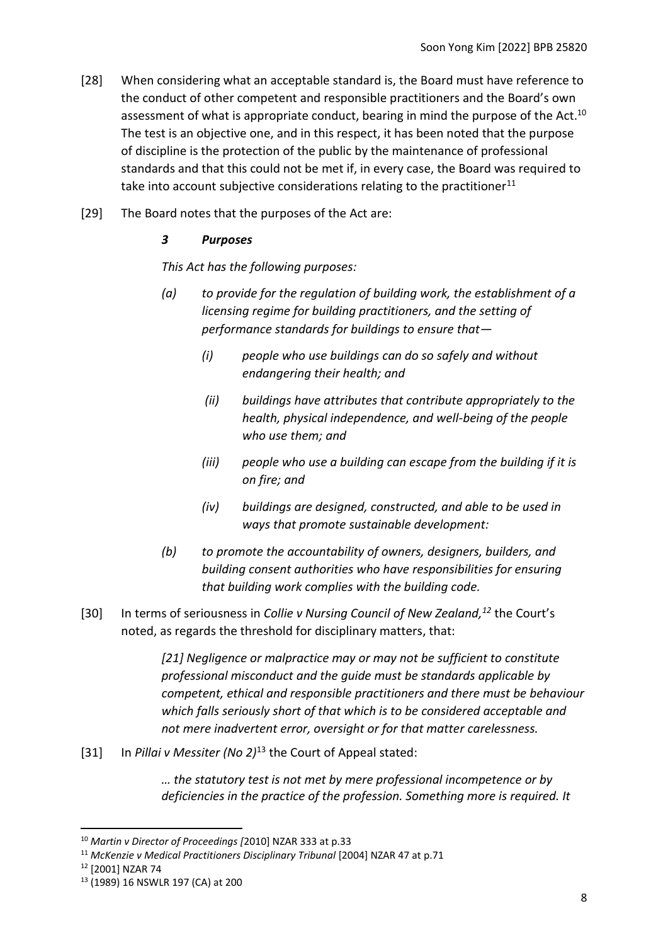- [28] When considering what an acceptable standard is, the Board must have reference to the conduct of other competent and responsible practitioners and the Board's own assessment of what is appropriate conduct, bearing in mind the purpose of the Act.<sup>10</sup> The test is an objective one, and in this respect, it has been noted that the purpose of discipline is the protection of the public by the maintenance of professional standards and that this could not be met if, in every case, the Board was required to take into account subjective considerations relating to the practitioner<sup>11</sup>
- [29] The Board notes that the purposes of the Act are:

### *3 Purposes*

*This Act has the following purposes:*

- *(a) to provide for the regulation of building work, the establishment of a licensing regime for building practitioners, and the setting of performance standards for buildings to ensure that—*
	- *(i) people who use buildings can do so safely and without endangering their health; and*
	- *(ii) buildings have attributes that contribute appropriately to the health, physical independence, and well-being of the people who use them; and*
	- *(iii) people who use a building can escape from the building if it is on fire; and*
	- *(iv) buildings are designed, constructed, and able to be used in ways that promote sustainable development:*
- *(b) to promote the accountability of owners, designers, builders, and building consent authorities who have responsibilities for ensuring that building work complies with the building code.*
- [30] In terms of seriousness in *Collie v Nursing Council of New Zealand, <sup>12</sup>* the Court's noted, as regards the threshold for disciplinary matters, that:

*[21] Negligence or malpractice may or may not be sufficient to constitute professional misconduct and the guide must be standards applicable by competent, ethical and responsible practitioners and there must be behaviour which falls seriously short of that which is to be considered acceptable and not mere inadvertent error, oversight or for that matter carelessness.*

[31] In *Pillai v Messiter (No 2)*<sup>13</sup> the Court of Appeal stated:

*… the statutory test is not met by mere professional incompetence or by deficiencies in the practice of the profession. Something more is required. It* 

<sup>10</sup> *Martin v Director of Proceedings [*2010] NZAR 333 at p.33

<sup>11</sup> *McKenzie v Medical Practitioners Disciplinary Tribunal* [2004] NZAR 47 at p.71

<sup>12</sup> [2001] NZAR 74

<sup>13</sup> (1989) 16 NSWLR 197 (CA) at 200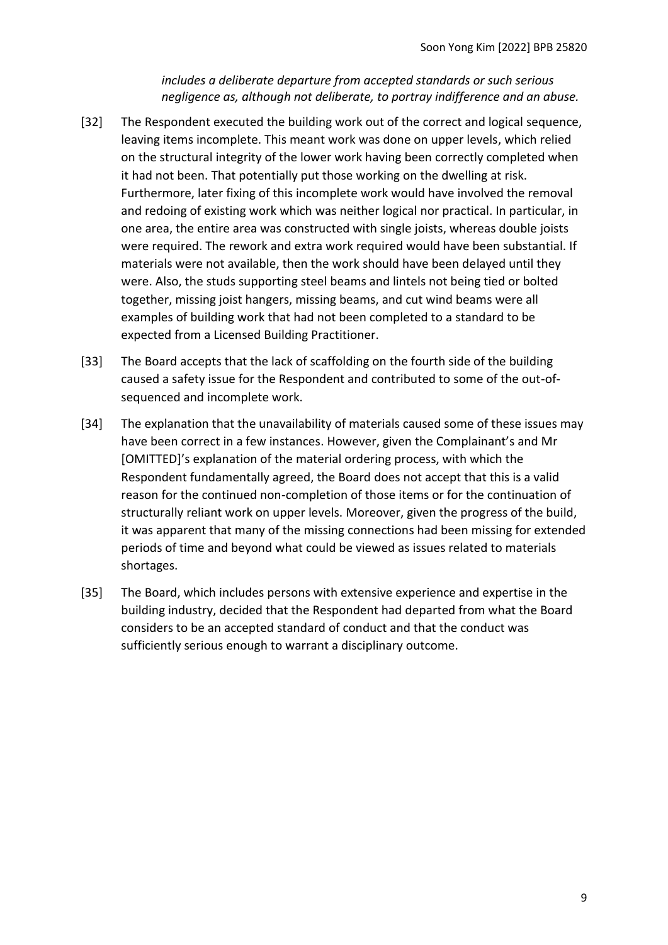*includes a deliberate departure from accepted standards or such serious negligence as, although not deliberate, to portray indifference and an abuse.*

- [32] The Respondent executed the building work out of the correct and logical sequence, leaving items incomplete. This meant work was done on upper levels, which relied on the structural integrity of the lower work having been correctly completed when it had not been. That potentially put those working on the dwelling at risk. Furthermore, later fixing of this incomplete work would have involved the removal and redoing of existing work which was neither logical nor practical. In particular, in one area, the entire area was constructed with single joists, whereas double joists were required. The rework and extra work required would have been substantial. If materials were not available, then the work should have been delayed until they were. Also, the studs supporting steel beams and lintels not being tied or bolted together, missing joist hangers, missing beams, and cut wind beams were all examples of building work that had not been completed to a standard to be expected from a Licensed Building Practitioner.
- [33] The Board accepts that the lack of scaffolding on the fourth side of the building caused a safety issue for the Respondent and contributed to some of the out-ofsequenced and incomplete work.
- [34] The explanation that the unavailability of materials caused some of these issues may have been correct in a few instances. However, given the Complainant's and Mr [OMITTED]'s explanation of the material ordering process, with which the Respondent fundamentally agreed, the Board does not accept that this is a valid reason for the continued non-completion of those items or for the continuation of structurally reliant work on upper levels. Moreover, given the progress of the build, it was apparent that many of the missing connections had been missing for extended periods of time and beyond what could be viewed as issues related to materials shortages.
- [35] The Board, which includes persons with extensive experience and expertise in the building industry, decided that the Respondent had departed from what the Board considers to be an accepted standard of conduct and that the conduct was sufficiently serious enough to warrant a disciplinary outcome.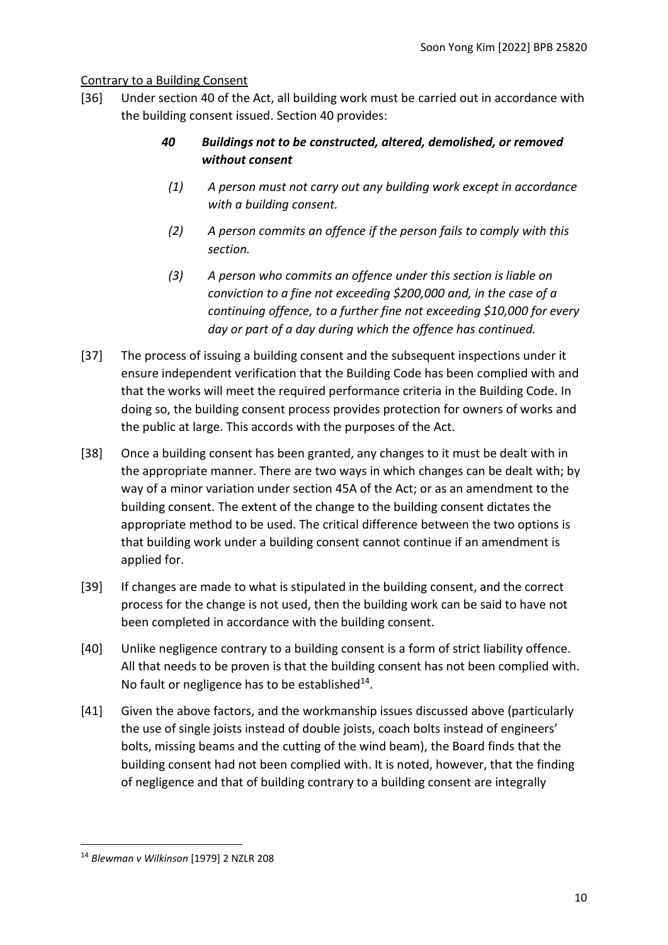## <span id="page-9-0"></span>Contrary to a Building Consent

[36] Under section 40 of the Act, all building work must be carried out in accordance with the building consent issued. Section 40 provides:

# *40 Buildings not to be constructed, altered, demolished, or removed without consent*

- *(1) A person must not carry out any building work except in accordance with a building consent.*
- *(2) A person commits an offence if the person fails to comply with this section.*
- *(3) A person who commits an offence under this section is liable on conviction to a fine not exceeding \$200,000 and, in the case of a continuing offence, to a further fine not exceeding \$10,000 for every day or part of a day during which the offence has continued.*
- [37] The process of issuing a building consent and the subsequent inspections under it ensure independent verification that the Building Code has been complied with and that the works will meet the required performance criteria in the Building Code. In doing so, the building consent process provides protection for owners of works and the public at large. This accords with the purposes of the Act.
- [38] Once a building consent has been granted, any changes to it must be dealt with in the appropriate manner. There are two ways in which changes can be dealt with; by way of a minor variation under section 45A of the Act; or as an amendment to the building consent. The extent of the change to the building consent dictates the appropriate method to be used. The critical difference between the two options is that building work under a building consent cannot continue if an amendment is applied for.
- [39] If changes are made to what is stipulated in the building consent, and the correct process for the change is not used, then the building work can be said to have not been completed in accordance with the building consent.
- [40] Unlike negligence contrary to a building consent is a form of strict liability offence. All that needs to be proven is that the building consent has not been complied with. No fault or negligence has to be established $^{14}$ .
- [41] Given the above factors, and the workmanship issues discussed above (particularly the use of single joists instead of double joists, coach bolts instead of engineers' bolts, missing beams and the cutting of the wind beam), the Board finds that the building consent had not been complied with. It is noted, however, that the finding of negligence and that of building contrary to a building consent are integrally

<sup>14</sup> *Blewman v Wilkinson* [1979] 2 NZLR 208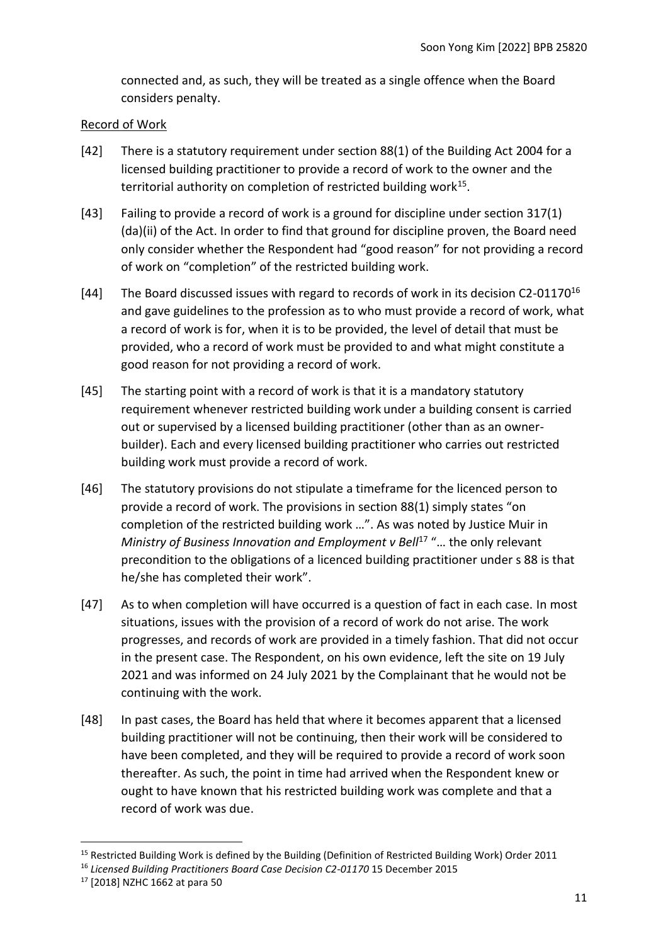connected and, as such, they will be treated as a single offence when the Board considers penalty.

#### <span id="page-10-0"></span>Record of Work

- [42] There is a statutory requirement under section 88(1) of the Building Act 2004 for a licensed building practitioner to provide a record of work to the owner and the territorial authority on completion of restricted building work<sup>15</sup>.
- [43] Failing to provide a record of work is a ground for discipline under section 317(1) (da)(ii) of the Act. In order to find that ground for discipline proven, the Board need only consider whether the Respondent had "good reason" for not providing a record of work on "completion" of the restricted building work.
- [44] The Board discussed issues with regard to records of work in its decision C2-01170<sup>16</sup> and gave guidelines to the profession as to who must provide a record of work, what a record of work is for, when it is to be provided, the level of detail that must be provided, who a record of work must be provided to and what might constitute a good reason for not providing a record of work.
- [45] The starting point with a record of work is that it is a mandatory statutory requirement whenever restricted building work under a building consent is carried out or supervised by a licensed building practitioner (other than as an ownerbuilder). Each and every licensed building practitioner who carries out restricted building work must provide a record of work.
- [46] The statutory provisions do not stipulate a timeframe for the licenced person to provide a record of work. The provisions in section 88(1) simply states "on completion of the restricted building work …". As was noted by Justice Muir in *Ministry of Business Innovation and Employment v Bell<sup>17</sup> "... the only relevant* precondition to the obligations of a licenced building practitioner under s 88 is that he/she has completed their work".
- [47] As to when completion will have occurred is a question of fact in each case. In most situations, issues with the provision of a record of work do not arise. The work progresses, and records of work are provided in a timely fashion. That did not occur in the present case. The Respondent, on his own evidence, left the site on 19 July 2021 and was informed on 24 July 2021 by the Complainant that he would not be continuing with the work.
- [48] In past cases, the Board has held that where it becomes apparent that a licensed building practitioner will not be continuing, then their work will be considered to have been completed, and they will be required to provide a record of work soon thereafter. As such, the point in time had arrived when the Respondent knew or ought to have known that his restricted building work was complete and that a record of work was due.

<sup>&</sup>lt;sup>15</sup> Restricted Building Work is defined by the Building (Definition of Restricted Building Work) Order 2011

<sup>&</sup>lt;sup>16</sup> Licensed Building Practitioners Board Case Decision C2-01170 15 December 2015

<sup>17</sup> [2018] NZHC 1662 at para 50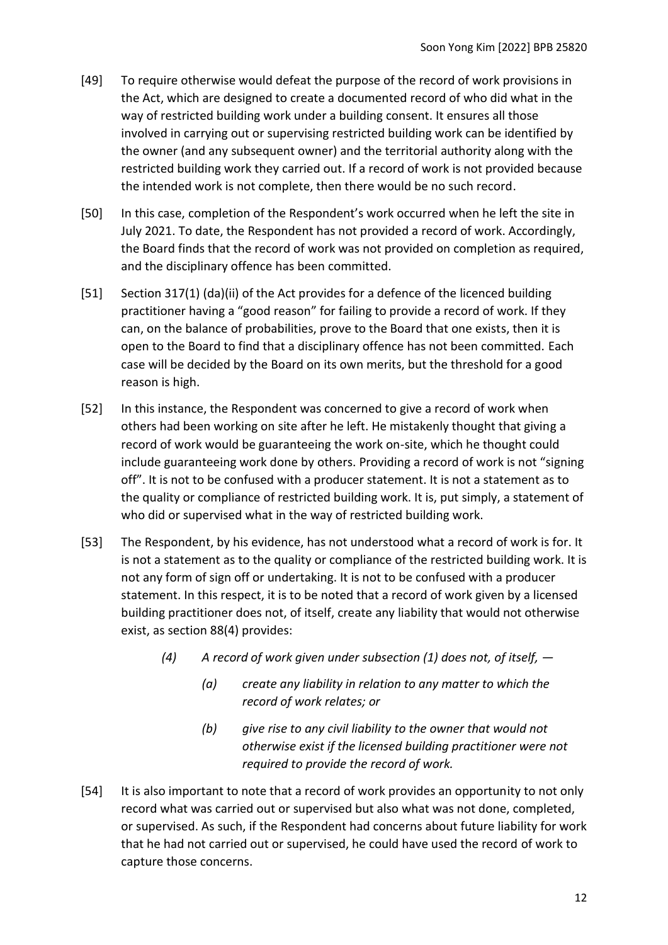- [49] To require otherwise would defeat the purpose of the record of work provisions in the Act, which are designed to create a documented record of who did what in the way of restricted building work under a building consent. It ensures all those involved in carrying out or supervising restricted building work can be identified by the owner (and any subsequent owner) and the territorial authority along with the restricted building work they carried out. If a record of work is not provided because the intended work is not complete, then there would be no such record.
- [50] In this case, completion of the Respondent's work occurred when he left the site in July 2021. To date, the Respondent has not provided a record of work. Accordingly, the Board finds that the record of work was not provided on completion as required, and the disciplinary offence has been committed.
- [51] Section 317(1) (da)(ii) of the Act provides for a defence of the licenced building practitioner having a "good reason" for failing to provide a record of work. If they can, on the balance of probabilities, prove to the Board that one exists, then it is open to the Board to find that a disciplinary offence has not been committed. Each case will be decided by the Board on its own merits, but the threshold for a good reason is high.
- [52] In this instance, the Respondent was concerned to give a record of work when others had been working on site after he left. He mistakenly thought that giving a record of work would be guaranteeing the work on-site, which he thought could include guaranteeing work done by others. Providing a record of work is not "signing off". It is not to be confused with a producer statement. It is not a statement as to the quality or compliance of restricted building work. It is, put simply, a statement of who did or supervised what in the way of restricted building work.
- [53] The Respondent, by his evidence, has not understood what a record of work is for. It is not a statement as to the quality or compliance of the restricted building work. It is not any form of sign off or undertaking. It is not to be confused with a producer statement. In this respect, it is to be noted that a record of work given by a licensed building practitioner does not, of itself, create any liability that would not otherwise exist, as section 88(4) provides:
	- *(4) A record of work given under subsection (1) does not, of itself, —*
		- *(a) create any liability in relation to any matter to which the record of work relates; or*
		- *(b) give rise to any civil liability to the owner that would not otherwise exist if the licensed building practitioner were not required to provide the record of work.*
- [54] It is also important to note that a record of work provides an opportunity to not only record what was carried out or supervised but also what was not done, completed, or supervised. As such, if the Respondent had concerns about future liability for work that he had not carried out or supervised, he could have used the record of work to capture those concerns.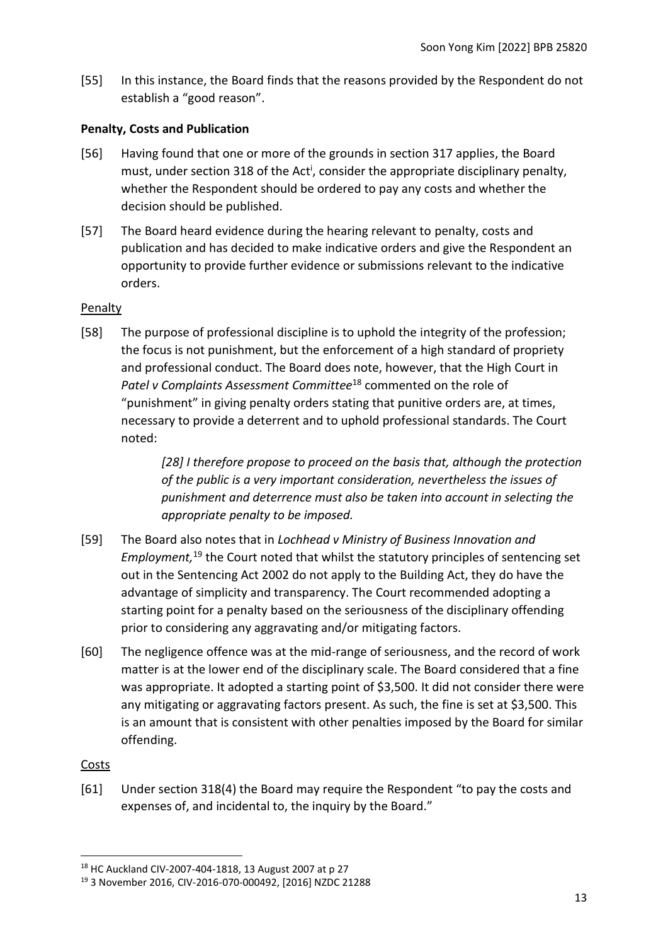[55] In this instance, the Board finds that the reasons provided by the Respondent do not establish a "good reason".

## <span id="page-12-0"></span>**Penalty, Costs and Publication**

- [56] Having found that one or more of the grounds in section 317 applies, the Board must, under section 318 of the Act<sup>i</sup>, consider the appropriate disciplinary penalty, whether the Respondent should be ordered to pay any costs and whether the decision should be published.
- [57] The Board heard evidence during the hearing relevant to penalty, costs and publication and has decided to make indicative orders and give the Respondent an opportunity to provide further evidence or submissions relevant to the indicative orders.

## <span id="page-12-1"></span>Penalty

[58] The purpose of professional discipline is to uphold the integrity of the profession; the focus is not punishment, but the enforcement of a high standard of propriety and professional conduct. The Board does note, however, that the High Court in *Patel v Complaints Assessment Committee*<sup>18</sup> commented on the role of "punishment" in giving penalty orders stating that punitive orders are, at times, necessary to provide a deterrent and to uphold professional standards. The Court noted:

> *[28] I therefore propose to proceed on the basis that, although the protection of the public is a very important consideration, nevertheless the issues of punishment and deterrence must also be taken into account in selecting the appropriate penalty to be imposed.*

- [59] The Board also notes that in *Lochhead v Ministry of Business Innovation and Employment,* <sup>19</sup> the Court noted that whilst the statutory principles of sentencing set out in the Sentencing Act 2002 do not apply to the Building Act, they do have the advantage of simplicity and transparency. The Court recommended adopting a starting point for a penalty based on the seriousness of the disciplinary offending prior to considering any aggravating and/or mitigating factors.
- [60] The negligence offence was at the mid-range of seriousness, and the record of work matter is at the lower end of the disciplinary scale. The Board considered that a fine was appropriate. It adopted a starting point of \$3,500. It did not consider there were any mitigating or aggravating factors present. As such, the fine is set at \$3,500. This is an amount that is consistent with other penalties imposed by the Board for similar offending.

<span id="page-12-2"></span>Costs

[61] Under section 318(4) the Board may require the Respondent "to pay the costs and expenses of, and incidental to, the inquiry by the Board."

<sup>18</sup> HC Auckland CIV-2007-404-1818, 13 August 2007 at p 27

<sup>19</sup> 3 November 2016, CIV-2016-070-000492, [2016] NZDC 21288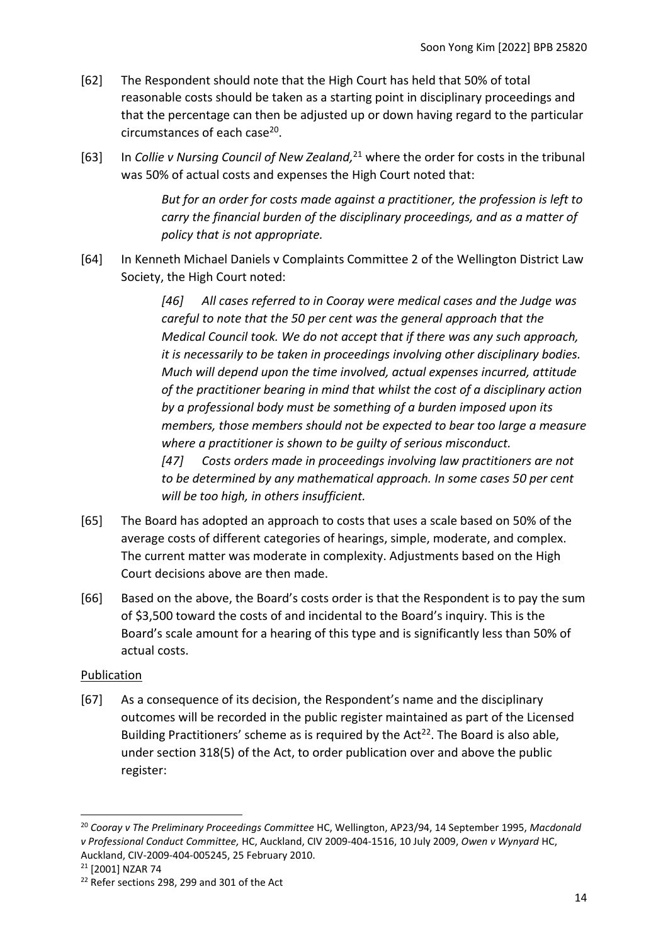- [62] The Respondent should note that the High Court has held that 50% of total reasonable costs should be taken as a starting point in disciplinary proceedings and that the percentage can then be adjusted up or down having regard to the particular circumstances of each case<sup>20</sup>.
- [63] In *Collie v Nursing Council of New Zealand,* <sup>21</sup> where the order for costs in the tribunal was 50% of actual costs and expenses the High Court noted that:

*But for an order for costs made against a practitioner, the profession is left to carry the financial burden of the disciplinary proceedings, and as a matter of policy that is not appropriate.*

[64] In Kenneth Michael Daniels v Complaints Committee 2 of the Wellington District Law Society, the High Court noted:

> *[46] All cases referred to in Cooray were medical cases and the Judge was careful to note that the 50 per cent was the general approach that the Medical Council took. We do not accept that if there was any such approach, it is necessarily to be taken in proceedings involving other disciplinary bodies. Much will depend upon the time involved, actual expenses incurred, attitude of the practitioner bearing in mind that whilst the cost of a disciplinary action by a professional body must be something of a burden imposed upon its members, those members should not be expected to bear too large a measure where a practitioner is shown to be guilty of serious misconduct.*

*[47] Costs orders made in proceedings involving law practitioners are not to be determined by any mathematical approach. In some cases 50 per cent will be too high, in others insufficient.*

- [65] The Board has adopted an approach to costs that uses a scale based on 50% of the average costs of different categories of hearings, simple, moderate, and complex. The current matter was moderate in complexity. Adjustments based on the High Court decisions above are then made.
- [66] Based on the above, the Board's costs order is that the Respondent is to pay the sum of \$3,500 toward the costs of and incidental to the Board's inquiry. This is the Board's scale amount for a hearing of this type and is significantly less than 50% of actual costs.

# <span id="page-13-0"></span>Publication

[67] As a consequence of its decision, the Respondent's name and the disciplinary outcomes will be recorded in the public register maintained as part of the Licensed Building Practitioners' scheme as is required by the Act<sup>22</sup>. The Board is also able, under section 318(5) of the Act, to order publication over and above the public register:

<sup>20</sup> *Cooray v The Preliminary Proceedings Committee* HC, Wellington, AP23/94, 14 September 1995, *Macdonald v Professional Conduct Committee,* HC, Auckland, CIV 2009-404-1516, 10 July 2009, *Owen v Wynyard* HC, Auckland, CIV-2009-404-005245, 25 February 2010.

<sup>21</sup> [2001] NZAR 74

<sup>&</sup>lt;sup>22</sup> Refer sections 298, 299 and 301 of the Act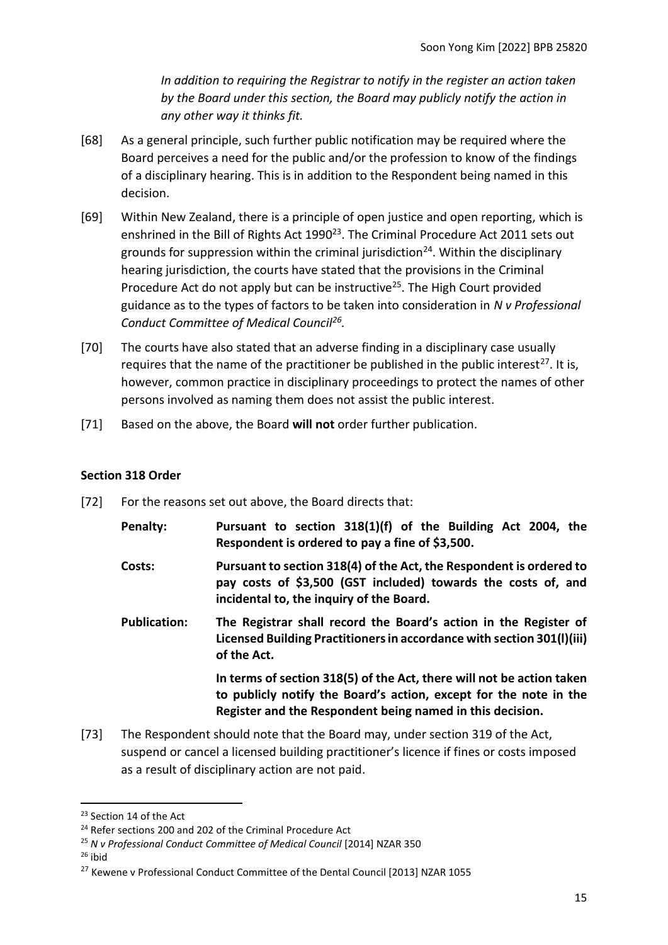*In addition to requiring the Registrar to notify in the register an action taken by the Board under this section, the Board may publicly notify the action in any other way it thinks fit.*

- [68] As a general principle, such further public notification may be required where the Board perceives a need for the public and/or the profession to know of the findings of a disciplinary hearing. This is in addition to the Respondent being named in this decision.
- [69] Within New Zealand, there is a principle of open justice and open reporting, which is enshrined in the Bill of Rights Act 1990<sup>23</sup>. The Criminal Procedure Act 2011 sets out grounds for suppression within the criminal jurisdiction<sup>24</sup>. Within the disciplinary hearing jurisdiction, the courts have stated that the provisions in the Criminal Procedure Act do not apply but can be instructive<sup>25</sup>. The High Court provided guidance as to the types of factors to be taken into consideration in *N v Professional Conduct Committee of Medical Council<sup>26</sup> .*
- [70] The courts have also stated that an adverse finding in a disciplinary case usually requires that the name of the practitioner be published in the public interest<sup>27</sup>. It is, however, common practice in disciplinary proceedings to protect the names of other persons involved as naming them does not assist the public interest.
- <span id="page-14-0"></span>[71] Based on the above, the Board **will not** order further publication.

## **Section 318 Order**

- [72] For the reasons set out above, the Board directs that:
	- **Penalty: Pursuant to section 318(1)(f) of the Building Act 2004, the Respondent is ordered to pay a fine of \$3,500.**
	- **Costs: Pursuant to section 318(4) of the Act, the Respondent is ordered to pay costs of \$3,500 (GST included) towards the costs of, and incidental to, the inquiry of the Board.**
	- **Publication: The Registrar shall record the Board's action in the Register of Licensed Building Practitioners in accordance with section 301(l)(iii) of the Act.**

**In terms of section 318(5) of the Act, there will not be action taken to publicly notify the Board's action, except for the note in the Register and the Respondent being named in this decision.**

[73] The Respondent should note that the Board may, under section 319 of the Act, suspend or cancel a licensed building practitioner's licence if fines or costs imposed as a result of disciplinary action are not paid.

 $26$  ibid

<sup>&</sup>lt;sup>23</sup> Section 14 of the Act

<sup>&</sup>lt;sup>24</sup> Refer sections 200 and 202 of the Criminal Procedure Act

<sup>25</sup> *N v Professional Conduct Committee of Medical Council* [2014] NZAR 350

<sup>&</sup>lt;sup>27</sup> Kewene v Professional Conduct Committee of the Dental Council [2013] NZAR 1055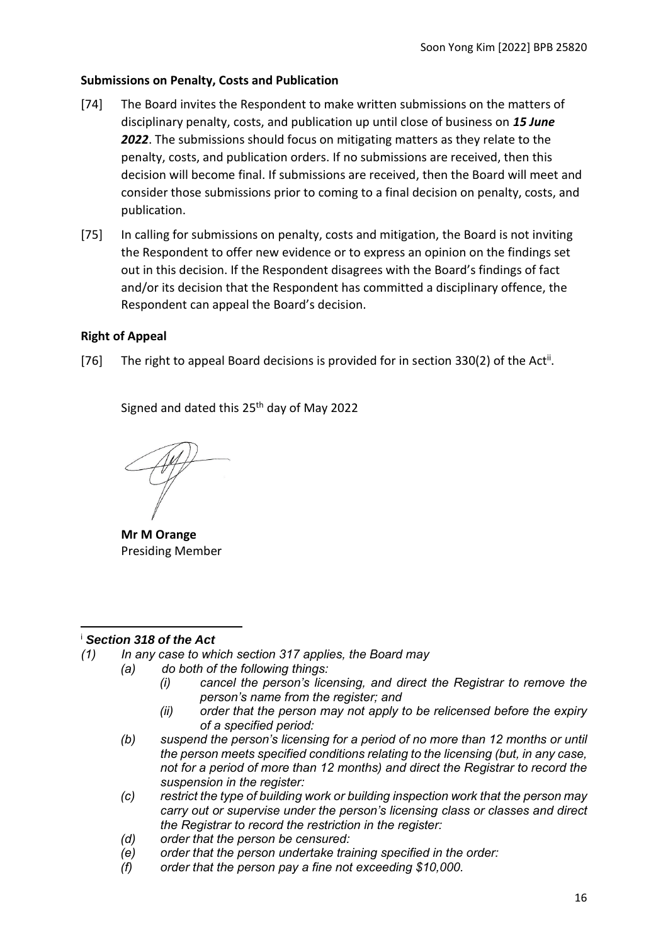### <span id="page-15-0"></span>**Submissions on Penalty, Costs and Publication**

- [74] The Board invites the Respondent to make written submissions on the matters of disciplinary penalty, costs, and publication up until close of business on *15 June 2022*. The submissions should focus on mitigating matters as they relate to the penalty, costs, and publication orders. If no submissions are received, then this decision will become final. If submissions are received, then the Board will meet and consider those submissions prior to coming to a final decision on penalty, costs, and publication.
- [75] In calling for submissions on penalty, costs and mitigation, the Board is not inviting the Respondent to offer new evidence or to express an opinion on the findings set out in this decision. If the Respondent disagrees with the Board's findings of fact and/or its decision that the Respondent has committed a disciplinary offence, the Respondent can appeal the Board's decision.

## <span id="page-15-1"></span>**Right of Appeal**

[76] The right to appeal Board decisions is provided for in section 330(2) of the Act<sup>ii</sup>.

Signed and dated this 25<sup>th</sup> day of May 2022

**Mr M Orange** Presiding Member

#### <sup>i</sup> *Section 318 of the Act*

- *(1) In any case to which section 317 applies, the Board may*
	- *(a) do both of the following things:*
		- *(i) cancel the person's licensing, and direct the Registrar to remove the person's name from the register; and*
		- *(ii) order that the person may not apply to be relicensed before the expiry of a specified period:*
		- *(b) suspend the person's licensing for a period of no more than 12 months or until the person meets specified conditions relating to the licensing (but, in any case, not for a period of more than 12 months) and direct the Registrar to record the suspension in the register:*
		- *(c) restrict the type of building work or building inspection work that the person may carry out or supervise under the person's licensing class or classes and direct the Registrar to record the restriction in the register:*
		- *(d) order that the person be censured:*
		- *(e) order that the person undertake training specified in the order:*
		- *(f) order that the person pay a fine not exceeding \$10,000.*